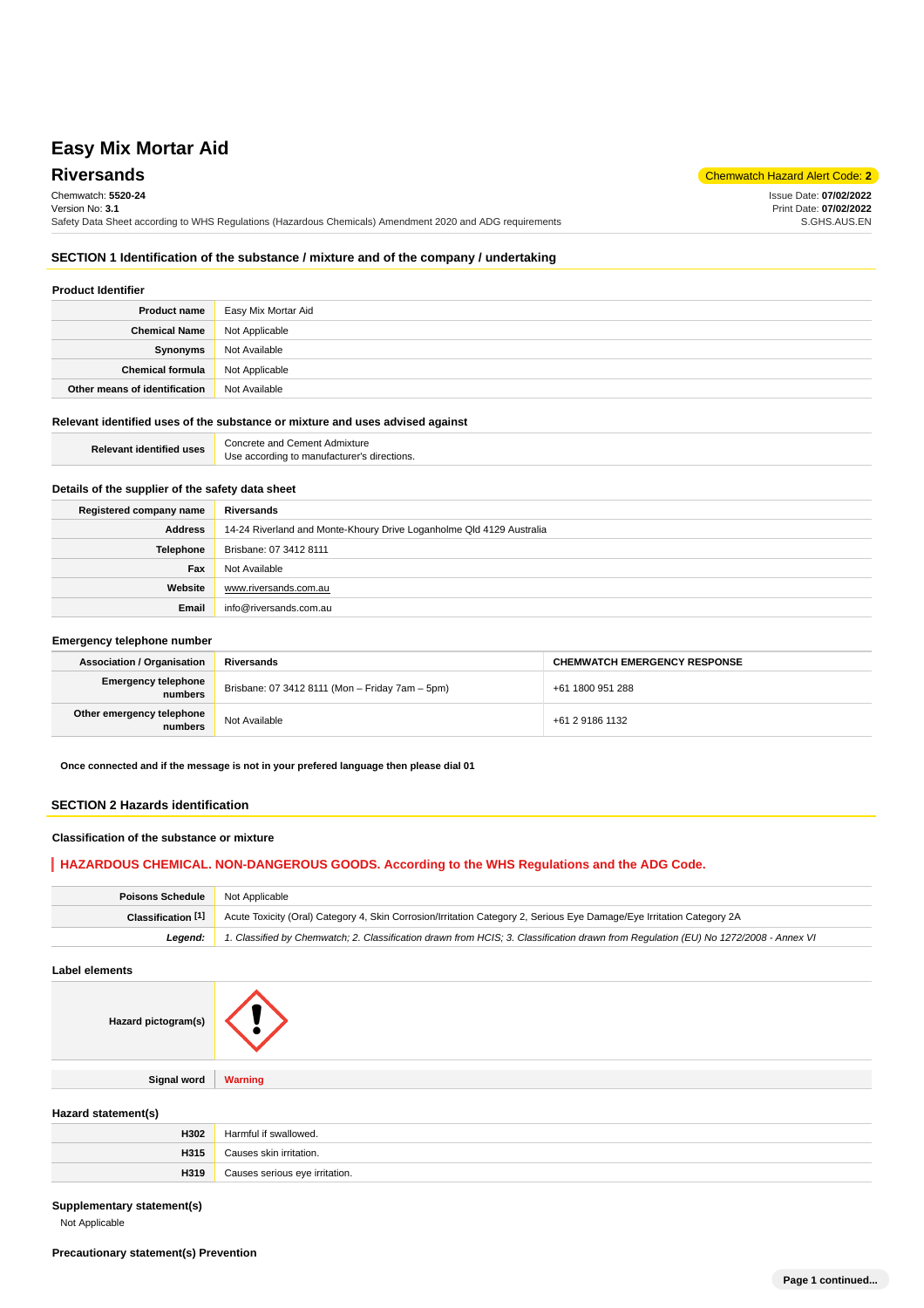**Riversands** Chemwatch Hazard Alert Code: 2 Chemwatch: **5520-24** Version No: **3.1** Safety Data Sheet according to WHS Regulations (Hazardous Chemicals) Amendment 2020 and ADG requirements Issue Date: **07/02/2022** Print Date: **07/02/2022** S.GHS.AUS.EN

## **SECTION 1 Identification of the substance / mixture and of the company / undertaking**

## **Product Identifier**

| <b>Product name</b>           | Easy Mix Mortar Aid |
|-------------------------------|---------------------|
| <b>Chemical Name</b>          | Not Applicable      |
| Synonyms                      | Not Available       |
| <b>Chemical formula</b>       | Not Applicable      |
| Other means of identification | Not Available       |

## **Relevant identified uses of the substance or mixture and uses advised against**

| <b>Relevant identified uses</b> | Concrete and Cement Admixture               |
|---------------------------------|---------------------------------------------|
|                                 | Use according to manufacturer's directions. |

## **Details of the supplier of the safety data sheet**

| Registered company name | Riversands                                                           |
|-------------------------|----------------------------------------------------------------------|
| <b>Address</b>          | 14-24 Riverland and Monte-Khoury Drive Loganholme Qld 4129 Australia |
| <b>Telephone</b>        | Brisbane: 07 3412 8111                                               |
| Fax                     | Not Available                                                        |
| Website                 | www.riversands.com.au                                                |
| Email                   | info@riversands.com.au                                               |

#### **Emergency telephone number**

| <b>Association / Organisation</b>     | Riversands                                      | <b>CHEMWATCH EMERGENCY RESPONSE</b> |
|---------------------------------------|-------------------------------------------------|-------------------------------------|
| <b>Emergency telephone</b><br>numbers | Brisbane: 07 3412 8111 (Mon - Friday 7am - 5pm) | +61 1800 951 288                    |
| Other emergency telephone<br>numbers  | Not Available                                   | +61 2 9186 1132                     |

**Once connected and if the message is not in your prefered language then please dial 01**

#### **SECTION 2 Hazards identification**

### **Classification of the substance or mixture**

## **HAZARDOUS CHEMICAL. NON-DANGEROUS GOODS. According to the WHS Regulations and the ADG Code.**

| <b>Poisons Schedule</b> | Not Applicable                                                                                                                      |
|-------------------------|-------------------------------------------------------------------------------------------------------------------------------------|
| Classification [1]      | Acute Toxicity (Oral) Category 4, Skin Corrosion/Irritation Category 2, Serious Eye Damage/Eye Irritation Category 2A               |
| Leaend:                 | 1. Classified by Chemwatch; 2. Classification drawn from HCIS; 3. Classification drawn from Requlation (EU) No 1272/2008 - Annex VI |

#### **Label elements**

| Hazard pictogram(s) |                |
|---------------------|----------------|
|                     |                |
| <b>Signal word</b>  | <b>Warning</b> |

## **Hazard statement(s)**

| H302 | <b>Harmfu</b><br>if swallowed. |
|------|--------------------------------|
| H315 | Causes skin irritation.        |
| H319 | Causes serious eye irritation. |

#### **Supplementary statement(s)**

Not Applicable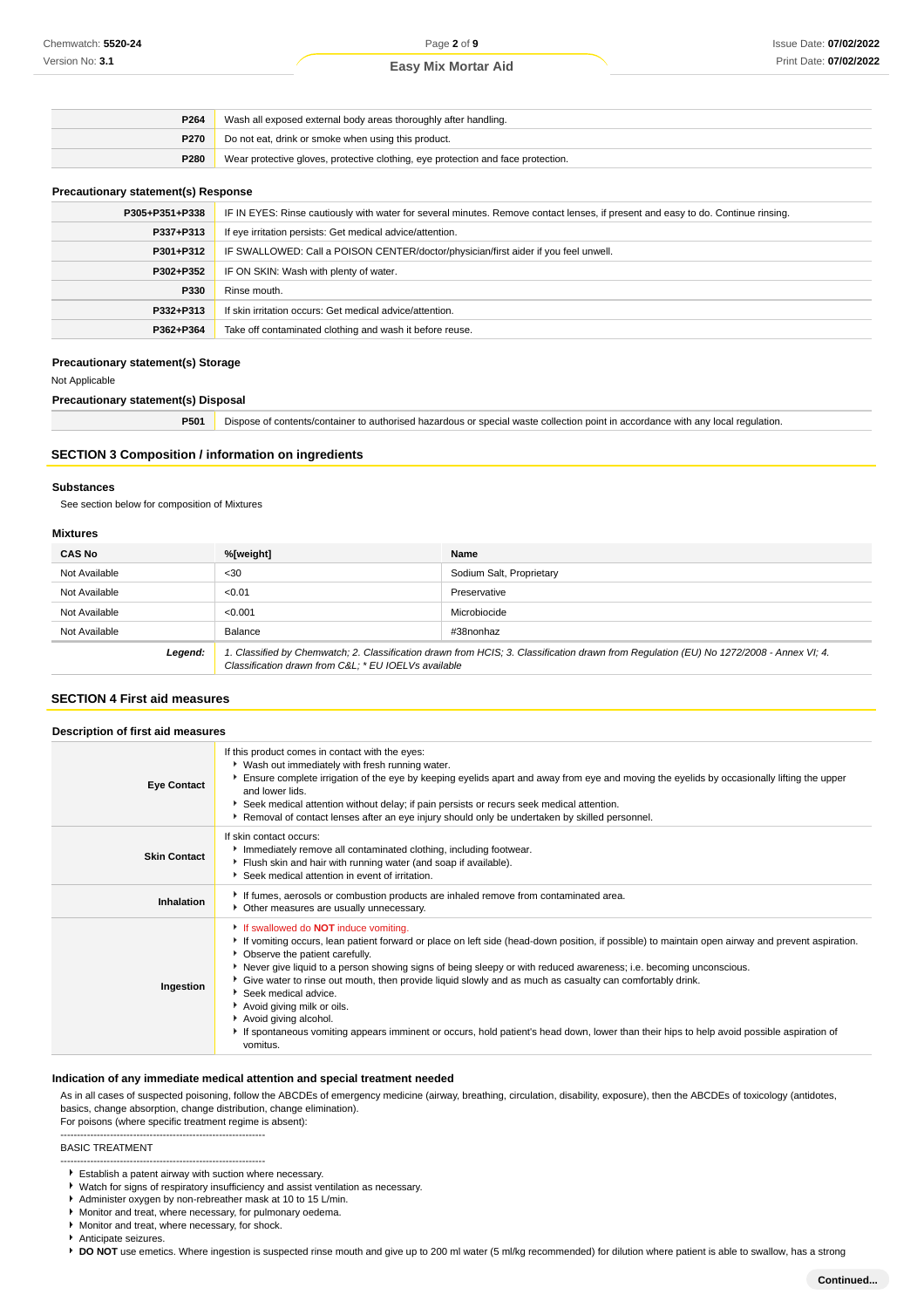| P <sub>264</sub> | Wash all exposed external body areas thoroughly after handling.                  |
|------------------|----------------------------------------------------------------------------------|
| <b>P270</b>      | Do not eat, drink or smoke when using this product.                              |
| P280             | Wear protective gloves, protective clothing, eye protection and face protection. |

#### **Precautionary statement(s) Response**

| P305+P351+P338 | IF IN EYES: Rinse cautiously with water for several minutes. Remove contact lenses, if present and easy to do. Continue rinsing. |
|----------------|----------------------------------------------------------------------------------------------------------------------------------|
| P337+P313      | If eye irritation persists: Get medical advice/attention.                                                                        |
| P301+P312      | IF SWALLOWED: Call a POISON CENTER/doctor/physician/first aider if you feel unwell.                                              |
| P302+P352      | IF ON SKIN: Wash with plenty of water.                                                                                           |
| P330           | Rinse mouth.                                                                                                                     |
| P332+P313      | If skin irritation occurs: Get medical advice/attention.                                                                         |
| P362+P364      | Take off contaminated clothing and wash it before reuse.                                                                         |

#### **Precautionary statement(s) Storage**

Not Applicable

**Precautionary statement(s) Disposal**

**P501** Dispose of contents/container to authorised hazardous or special waste collection point in accordance with any local regulation.

## **SECTION 3 Composition / information on ingredients**

#### **Substances**

See section below for composition of Mixtures

## **Mixtures**

| IIIALUI <del>6</del> 3 |                                                     |                                                                                                                                         |
|------------------------|-----------------------------------------------------|-----------------------------------------------------------------------------------------------------------------------------------------|
| <b>CAS No</b>          | %[weight]                                           | Name                                                                                                                                    |
| Not Available          | $30$                                                | Sodium Salt, Proprietary                                                                                                                |
| Not Available          | < 0.01                                              | Preservative                                                                                                                            |
| Not Available          | < 0.001                                             | Microbiocide                                                                                                                            |
| Not Available          | Balance                                             | #38nonhaz                                                                                                                               |
| Legend:                | Classification drawn from C&L * EU IOELVs available | 1. Classified by Chemwatch; 2. Classification drawn from HCIS; 3. Classification drawn from Regulation (EU) No 1272/2008 - Annex VI; 4. |

## **SECTION 4 First aid measures**

| Description of first aid measures |                                                                                                                                                                                                                                                                                                                                                                                                                                                                                                                                                                                                                                                                                                             |  |
|-----------------------------------|-------------------------------------------------------------------------------------------------------------------------------------------------------------------------------------------------------------------------------------------------------------------------------------------------------------------------------------------------------------------------------------------------------------------------------------------------------------------------------------------------------------------------------------------------------------------------------------------------------------------------------------------------------------------------------------------------------------|--|
| <b>Eye Contact</b>                | If this product comes in contact with the eyes:<br>• Wash out immediately with fresh running water.<br>Ensure complete irrigation of the eye by keeping eyelids apart and away from eye and moving the eyelids by occasionally lifting the upper<br>and lower lids.<br>Seek medical attention without delay; if pain persists or recurs seek medical attention.<br>Removal of contact lenses after an eye injury should only be undertaken by skilled personnel.                                                                                                                                                                                                                                            |  |
| <b>Skin Contact</b>               | If skin contact occurs:<br>Immediately remove all contaminated clothing, including footwear.<br>Flush skin and hair with running water (and soap if available).<br>Seek medical attention in event of irritation.                                                                                                                                                                                                                                                                                                                                                                                                                                                                                           |  |
| Inhalation                        | If fumes, aerosols or combustion products are inhaled remove from contaminated area.<br>• Other measures are usually unnecessary.                                                                                                                                                                                                                                                                                                                                                                                                                                                                                                                                                                           |  |
| Ingestion                         | If swallowed do <b>NOT</b> induce vomiting.<br>If vomiting occurs, lean patient forward or place on left side (head-down position, if possible) to maintain open airway and prevent aspiration.<br>• Observe the patient carefully.<br>Never give liquid to a person showing signs of being sleepy or with reduced awareness; i.e. becoming unconscious.<br>Give water to rinse out mouth, then provide liquid slowly and as much as casualty can comfortably drink.<br>Seek medical advice.<br>Avoid giving milk or oils.<br>Avoid giving alcohol.<br>If spontaneous vomiting appears imminent or occurs, hold patient's head down, lower than their hips to help avoid possible aspiration of<br>vomitus. |  |

## **Indication of any immediate medical attention and special treatment needed**

As in all cases of suspected poisoning, follow the ABCDEs of emergency medicine (airway, breathing, circulation, disability, exposure), then the ABCDEs of toxicology (antidotes, basics, change absorption, change distribution, change elimination). For poisons (where specific treatment regime is absent):

--------------------------------------------------------------

--------------------------------------------------------------

BASIC TREATMENT

- Establish a patent airway with suction where necessary.
- Watch for signs of respiratory insufficiency and assist ventilation as necessary.
- Administer oxygen by non-rebreather mask at 10 to 15 L/min.
- Monitor and treat, where necessary, for pulmonary oedema.
- **Monitor and treat, where necessary, for shock.**
- Anticipate seizures.

**DO NOT** use emetics. Where ingestion is suspected rinse mouth and give up to 200 ml water (5 ml/kg recommended) for dilution where patient is able to swallow, has a strong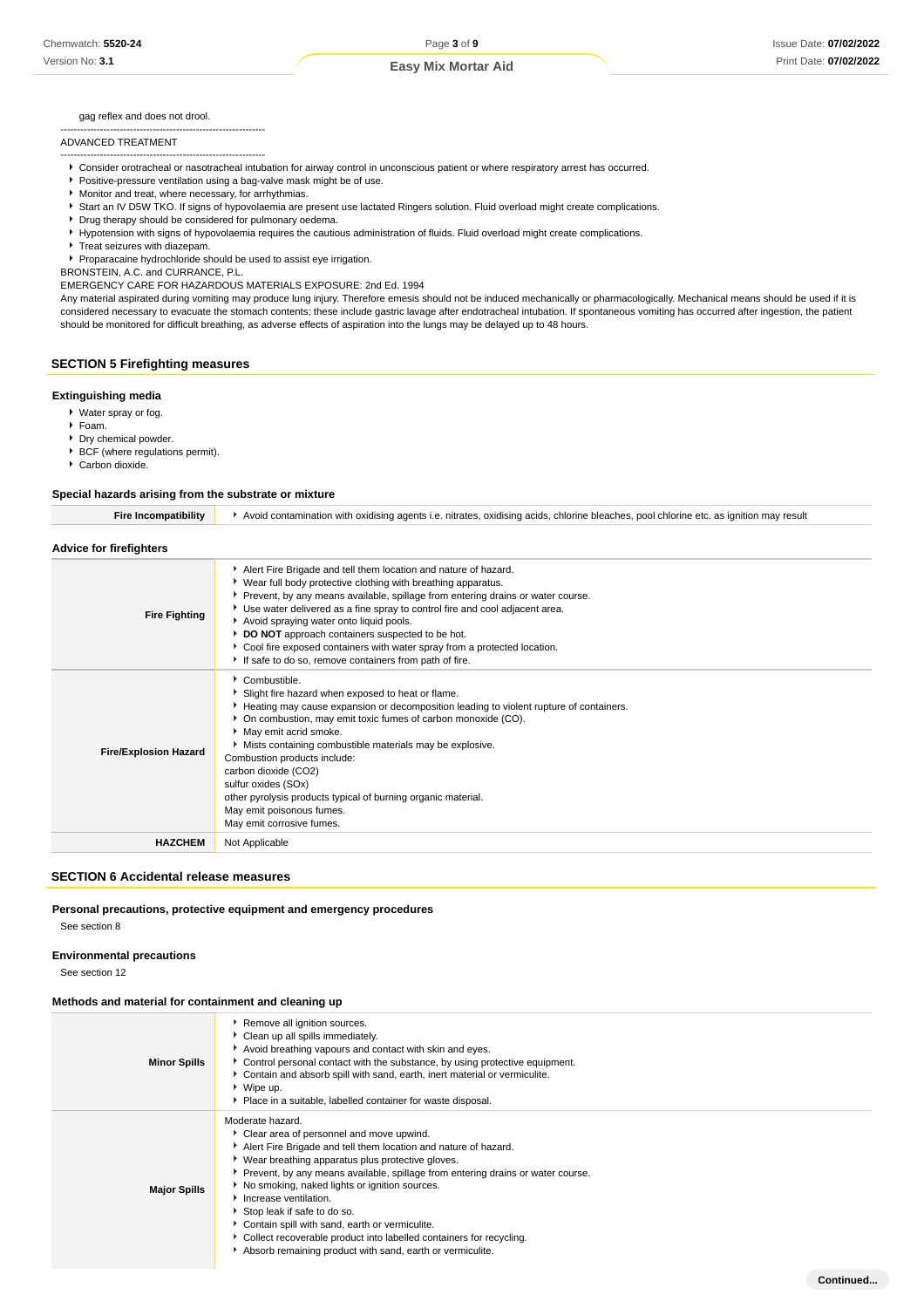gag reflex and does not drool.

--------------------------------------------------------------

#### ADVANCED TREATMENT

-------------------------------------------------------------- Consider orotracheal or nasotracheal intubation for airway control in unconscious patient or where respiratory arrest has occurred.

- **Positive-pressure ventilation using a bag-valve mask might be of use.**
- Monitor and treat, where necessary, for arrhythmias.
- Start an IV D5W TKO. If signs of hypovolaemia are present use lactated Ringers solution. Fluid overload might create complications.
- **P** Drug therapy should be considered for pulmonary oedema.
- Hypotension with signs of hypovolaemia requires the cautious administration of fluids. Fluid overload might create complications.
- **F** Treat seizures with diazepam.

Proparacaine hydrochloride should be used to assist eye irrigation.

BRONSTEIN, A.C. and CURRANCE, P.L.

EMERGENCY CARE FOR HAZARDOUS MATERIALS EXPOSURE: 2nd Ed. 1994

Any material aspirated during vomiting may produce lung injury. Therefore emesis should not be induced mechanically or pharmacologically. Mechanical means should be used if it is considered necessary to evacuate the stomach contents; these include gastric lavage after endotracheal intubation. If spontaneous vomiting has occurred after ingestion, the patient should be monitored for difficult breathing, as adverse effects of aspiration into the lungs may be delayed up to 48 hours.

## **SECTION 5 Firefighting measures**

#### **Extinguishing media**

- Water spray or fog.
- Foam.
- **Dry chemical powder.**
- BCF (where regulations permit).
- Carbon dioxide.

#### **Special hazards arising from the substrate or mixture**

| <b>Fire Incompatibility</b>    | Avoid contamination with oxidising agents i.e. nitrates, oxidising acids, chlorine bleaches, pool chlorine etc. as ignition may result                                                                                                                                                                                                                                                                                                                                                                                                      |  |
|--------------------------------|---------------------------------------------------------------------------------------------------------------------------------------------------------------------------------------------------------------------------------------------------------------------------------------------------------------------------------------------------------------------------------------------------------------------------------------------------------------------------------------------------------------------------------------------|--|
| <b>Advice for firefighters</b> |                                                                                                                                                                                                                                                                                                                                                                                                                                                                                                                                             |  |
| <b>Fire Fighting</b>           | Alert Fire Brigade and tell them location and nature of hazard.<br>• Wear full body protective clothing with breathing apparatus.<br>Prevent, by any means available, spillage from entering drains or water course.<br>▶ Use water delivered as a fine spray to control fire and cool adjacent area.<br>Avoid spraying water onto liquid pools.<br>DO NOT approach containers suspected to be hot.<br>• Cool fire exposed containers with water spray from a protected location.<br>If safe to do so, remove containers from path of fire. |  |
| <b>Fire/Explosion Hazard</b>   | Combustible.<br>Slight fire hazard when exposed to heat or flame.<br>Heating may cause expansion or decomposition leading to violent rupture of containers.<br>• On combustion, may emit toxic fumes of carbon monoxide (CO).<br>May emit acrid smoke.<br>Mists containing combustible materials may be explosive.<br>Combustion products include:<br>carbon dioxide (CO2)<br>sulfur oxides (SOx)<br>other pyrolysis products typical of burning organic material.<br>May emit poisonous fumes.<br>May emit corrosive fumes.                |  |
| <b>HAZCHEM</b>                 | Not Applicable                                                                                                                                                                                                                                                                                                                                                                                                                                                                                                                              |  |

#### **SECTION 6 Accidental release measures**

#### **Personal precautions, protective equipment and emergency procedures**

See section 8

#### **Environmental precautions**

See section 12

#### **Methods and material for containment and cleaning up**

| <b>Minor Spills</b> | Remove all ignition sources.<br>Clean up all spills immediately.<br>Avoid breathing vapours and contact with skin and eyes.<br>Control personal contact with the substance, by using protective equipment.<br>Contain and absorb spill with sand, earth, inert material or vermiculite.<br>▶ Wipe up.<br>• Place in a suitable, labelled container for waste disposal.                                                                                                                                                                                                        |
|---------------------|-------------------------------------------------------------------------------------------------------------------------------------------------------------------------------------------------------------------------------------------------------------------------------------------------------------------------------------------------------------------------------------------------------------------------------------------------------------------------------------------------------------------------------------------------------------------------------|
| <b>Major Spills</b> | Moderate hazard.<br>Clear area of personnel and move upwind.<br>Alert Fire Brigade and tell them location and nature of hazard.<br>▶ Wear breathing apparatus plus protective gloves.<br>▶ Prevent, by any means available, spillage from entering drains or water course.<br>▶ No smoking, naked lights or ignition sources.<br>Increase ventilation.<br>Stop leak if safe to do so.<br>Contain spill with sand, earth or vermiculite.<br>▶ Collect recoverable product into labelled containers for recycling.<br>Absorb remaining product with sand, earth or vermiculite. |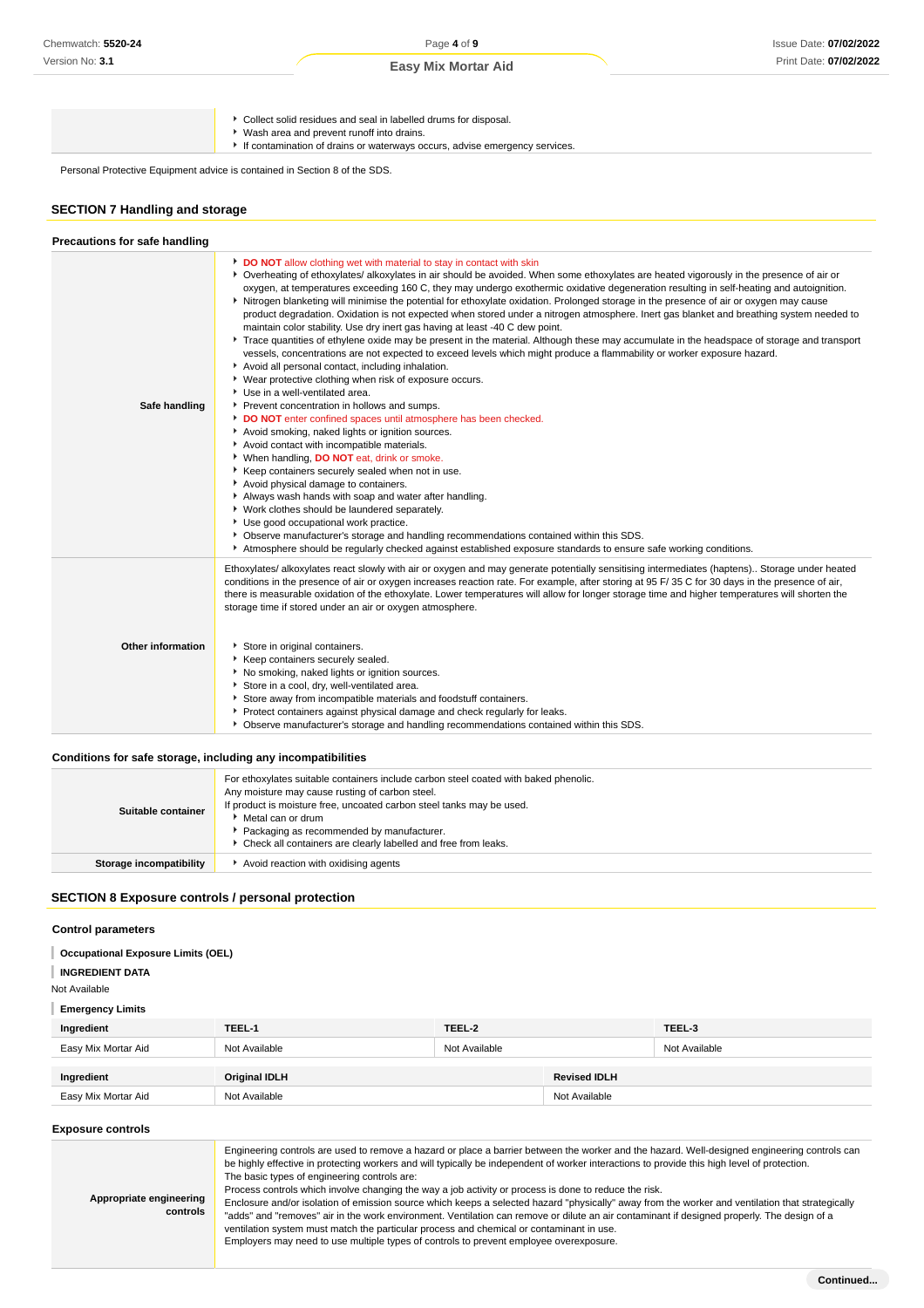Collect solid residues and seal in labelled drums for disposal.

- Wash area and prevent runoff into drains.
	- If contamination of drains or waterways occurs, advise emergency services.

Personal Protective Equipment advice is contained in Section 8 of the SDS.

## **SECTION 7 Handling and storage**

| Precautions for safe handling |                                                                                                                                                                                                                                                                                                                                                                                                                                                                                                                                                                                                                                                                                                                                                                                                                                                                                                                                                                                                                                                                                                                                                                                                                                                                                                                                                                                                                                                                                                                                                                                                                                                                                                                                                                                                                                                                                                     |
|-------------------------------|-----------------------------------------------------------------------------------------------------------------------------------------------------------------------------------------------------------------------------------------------------------------------------------------------------------------------------------------------------------------------------------------------------------------------------------------------------------------------------------------------------------------------------------------------------------------------------------------------------------------------------------------------------------------------------------------------------------------------------------------------------------------------------------------------------------------------------------------------------------------------------------------------------------------------------------------------------------------------------------------------------------------------------------------------------------------------------------------------------------------------------------------------------------------------------------------------------------------------------------------------------------------------------------------------------------------------------------------------------------------------------------------------------------------------------------------------------------------------------------------------------------------------------------------------------------------------------------------------------------------------------------------------------------------------------------------------------------------------------------------------------------------------------------------------------------------------------------------------------------------------------------------------------|
| Safe handling                 | DO NOT allow clothing wet with material to stay in contact with skin<br>• Overheating of ethoxylates/ alkoxylates in air should be avoided. When some ethoxylates are heated vigorously in the presence of air or<br>oxygen, at temperatures exceeding 160 C, they may undergo exothermic oxidative degeneration resulting in self-heating and autoignition.<br>Nitrogen blanketing will minimise the potential for ethoxylate oxidation. Prolonged storage in the presence of air or oxygen may cause<br>product degradation. Oxidation is not expected when stored under a nitrogen atmosphere. Inert gas blanket and breathing system needed to<br>maintain color stability. Use dry inert gas having at least -40 C dew point.<br>▶ Trace quantities of ethylene oxide may be present in the material. Although these may accumulate in the headspace of storage and transport<br>vessels, concentrations are not expected to exceed levels which might produce a flammability or worker exposure hazard.<br>Avoid all personal contact, including inhalation.<br>• Wear protective clothing when risk of exposure occurs.<br>Use in a well-ventilated area.<br>Prevent concentration in hollows and sumps.<br>DO NOT enter confined spaces until atmosphere has been checked.<br>Avoid smoking, naked lights or ignition sources.<br>Avoid contact with incompatible materials.<br>▶ When handling, DO NOT eat, drink or smoke.<br>Keep containers securely sealed when not in use.<br>Avoid physical damage to containers.<br>Always wash hands with soap and water after handling.<br>• Work clothes should be laundered separately.<br>Use good occupational work practice.<br>▶ Observe manufacturer's storage and handling recommendations contained within this SDS.<br>Atmosphere should be regularly checked against established exposure standards to ensure safe working conditions. |
| Other information             | Ethoxylates/ alkoxylates react slowly with air or oxygen and may generate potentially sensitising intermediates (haptens). Storage under heated<br>conditions in the presence of air or oxygen increases reaction rate. For example, after storing at 95 F/35 C for 30 days in the presence of air,<br>there is measurable oxidation of the ethoxylate. Lower temperatures will allow for longer storage time and higher temperatures will shorten the<br>storage time if stored under an air or oxygen atmosphere.<br>Store in original containers.<br>Keep containers securely sealed.<br>▶ No smoking, naked lights or ignition sources.<br>Store in a cool, dry, well-ventilated area.<br>Store away from incompatible materials and foodstuff containers.<br>Protect containers against physical damage and check regularly for leaks.<br>▶ Observe manufacturer's storage and handling recommendations contained within this SDS.                                                                                                                                                                                                                                                                                                                                                                                                                                                                                                                                                                                                                                                                                                                                                                                                                                                                                                                                                             |

#### **Conditions for safe storage, including any incompatibilities**

| ▶ Packaging as recommended by manufacturer.<br>• Check all containers are clearly labelled and free from leaks.<br>Avoid reaction with oxidising agents<br>Storage incompatibility | Suitable container | For ethoxylates suitable containers include carbon steel coated with baked phenolic.<br>Any moisture may cause rusting of carbon steel.<br>If product is moisture free, uncoated carbon steel tanks may be used.<br>Metal can or drum |
|------------------------------------------------------------------------------------------------------------------------------------------------------------------------------------|--------------------|---------------------------------------------------------------------------------------------------------------------------------------------------------------------------------------------------------------------------------------|
|                                                                                                                                                                                    |                    |                                                                                                                                                                                                                                       |

## **SECTION 8 Exposure controls / personal protection**

## **Control parameters**

| <b>Occupational Exposure Limits (OEL)</b> |  |
|-------------------------------------------|--|
|                                           |  |

- **INGREDIENT DATA**
- Not Available

## **Emergency Limits**

| Ingredient          | TEEL-1               | TEEL-2        |                     | TEEL-3        |
|---------------------|----------------------|---------------|---------------------|---------------|
| Easy Mix Mortar Aid | Not Available        | Not Available |                     | Not Available |
| Ingredient          | <b>Original IDLH</b> |               | <b>Revised IDLH</b> |               |
| Easy Mix Mortar Aid | Not Available        |               | Not Available       |               |

#### **Exposure controls**

| <b>Exposure controls</b>            |                                                                                                                                                                                                                                                                                                                                                                                                                                                                                                                                                                                                                                                                                                                                                                                                                                                                                                                                                 |
|-------------------------------------|-------------------------------------------------------------------------------------------------------------------------------------------------------------------------------------------------------------------------------------------------------------------------------------------------------------------------------------------------------------------------------------------------------------------------------------------------------------------------------------------------------------------------------------------------------------------------------------------------------------------------------------------------------------------------------------------------------------------------------------------------------------------------------------------------------------------------------------------------------------------------------------------------------------------------------------------------|
| Appropriate engineering<br>controls | Engineering controls are used to remove a hazard or place a barrier between the worker and the hazard. Well-designed engineering controls can<br>be highly effective in protecting workers and will typically be independent of worker interactions to provide this high level of protection.<br>The basic types of engineering controls are:<br>Process controls which involve changing the way a job activity or process is done to reduce the risk.<br>Enclosure and/or isolation of emission source which keeps a selected hazard "physically" away from the worker and ventilation that strategically<br>"adds" and "removes" air in the work environment. Ventilation can remove or dilute an air contaminant if designed properly. The design of a<br>ventilation system must match the particular process and chemical or contaminant in use.<br>Employers may need to use multiple types of controls to prevent employee overexposure. |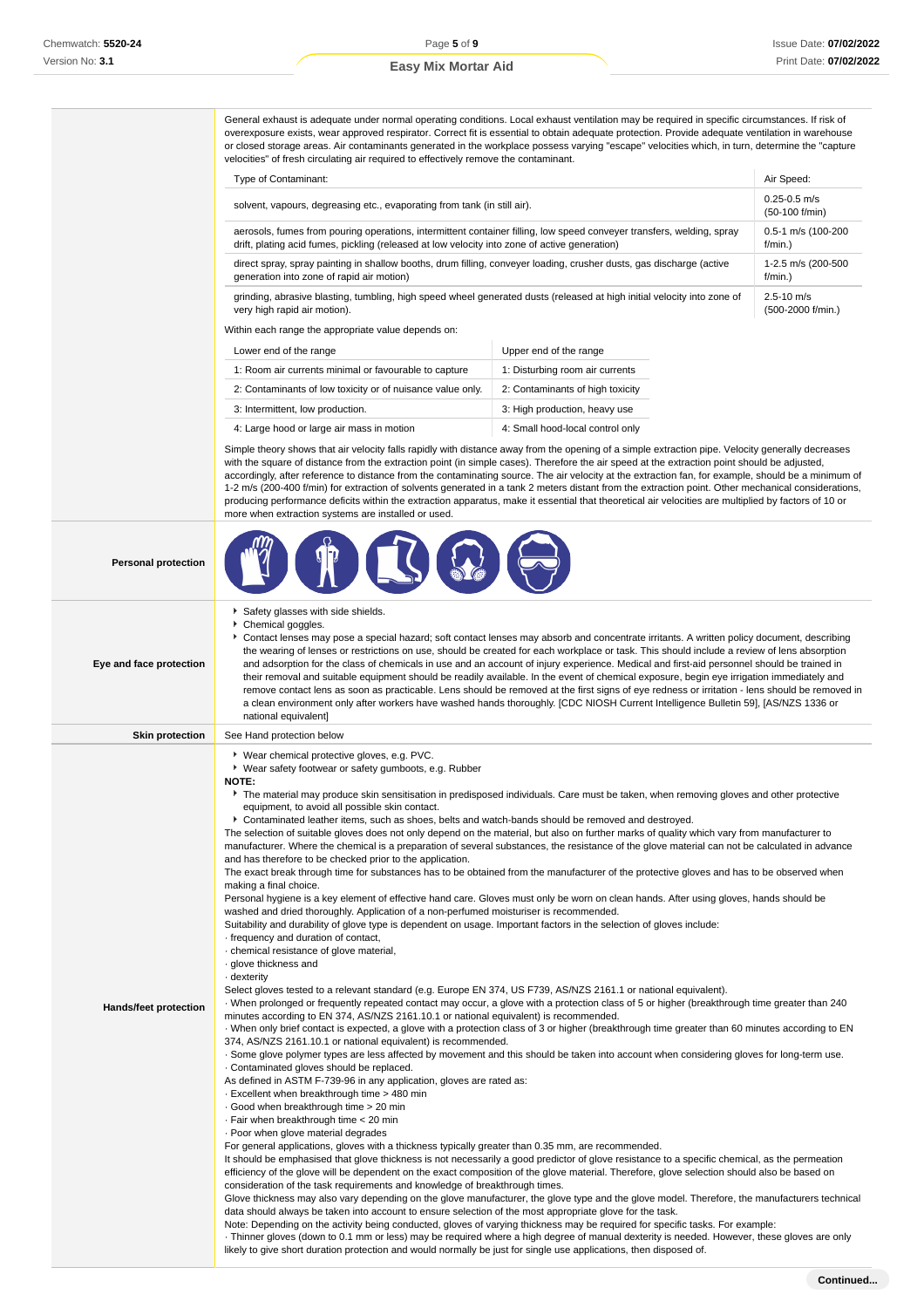í, i, l.

#### **Easy Mix Mortar Aid**

General exhaust is adequate under normal operating conditions. Local exhaust ventilation may be required in specific circumstances. If risk of overexposure exists, wear approved respirator. Correct fit is essential to obtain adequate protection. Provide adequate ventilation in warehouse or closed storage areas. Air contaminants generated in the workplace possess varying "escape" velocities which, in turn, determine the "capture velocities" of fresh circulating air required to effectively remove the contaminant.

| <b>Type of Contaminant:</b>                                                                                                                                                                                            | Air Speed:                          |
|------------------------------------------------------------------------------------------------------------------------------------------------------------------------------------------------------------------------|-------------------------------------|
| solvent, vapours, degreasing etc., evaporating from tank (in still air).                                                                                                                                               | $0.25 - 0.5$ m/s<br>(50-100 f/min)  |
| aerosols, fumes from pouring operations, intermittent container filling, low speed conveyer transfers, welding, spray<br>drift, plating acid fumes, pickling (released at low velocity into zone of active generation) | 0.5-1 m/s (100-200<br>$f/min.$ )    |
| direct spray, spray painting in shallow booths, drum filling, conveyer loading, crusher dusts, gas discharge (active<br>generation into zone of rapid air motion)                                                      | 1-2.5 m/s (200-500<br>$f/min.$ )    |
| grinding, abrasive blasting, tumbling, high speed wheel generated dusts (released at high initial velocity into zone of<br>very high rapid air motion).                                                                | $2.5 - 10$ m/s<br>(500-2000 f/min.) |
| Within each range the appropriate value depends on:                                                                                                                                                                    |                                     |
|                                                                                                                                                                                                                        |                                     |

| Lower end of the range                                     | Upper end of the range           |
|------------------------------------------------------------|----------------------------------|
| 1: Room air currents minimal or favourable to capture      | 1: Disturbing room air currents  |
| 2: Contaminants of low toxicity or of nuisance value only. | 2: Contaminants of high toxicity |
| 3: Intermittent, low production.                           | 3: High production, heavy use    |
| 4: Large hood or large air mass in motion                  | 4: Small hood-local control only |

Simple theory shows that air velocity falls rapidly with distance away from the opening of a simple extraction pipe. Velocity generally decreases with the square of distance from the extraction point (in simple cases). Therefore the air speed at the extraction point should be adjusted, accordingly, after reference to distance from the contaminating source. The air velocity at the extraction fan, for example, should be a minimum of 1-2 m/s (200-400 f/min) for extraction of solvents generated in a tank 2 meters distant from the extraction point. Other mechanical considerations, producing performance deficits within the extraction apparatus, make it essential that theoretical air velocities are multiplied by factors of 10 or more when extraction systems are installed or used.

| <b>Personal protection</b> |                                                                                                                                                                                                                                                                                                                                                                                                                                                                                                                                                                                                                                                                                                                                                                                                                                                                                                                                                                                                                                                                                                                                                                                                                                                                                                                                                                                                                                                                                                                                                                                                                                                                                                                                                                                                                                                                                                                                                                                                                                                                                                                                                                                                                                                                                                                                                                                                                                                                                                                                                                                                                                                                                                                                                                                                                                                                                                                                                                                                                                                                                                                                                                                                                                                                                                                                                                                                                                                                                                                                                                                                                                        |
|----------------------------|----------------------------------------------------------------------------------------------------------------------------------------------------------------------------------------------------------------------------------------------------------------------------------------------------------------------------------------------------------------------------------------------------------------------------------------------------------------------------------------------------------------------------------------------------------------------------------------------------------------------------------------------------------------------------------------------------------------------------------------------------------------------------------------------------------------------------------------------------------------------------------------------------------------------------------------------------------------------------------------------------------------------------------------------------------------------------------------------------------------------------------------------------------------------------------------------------------------------------------------------------------------------------------------------------------------------------------------------------------------------------------------------------------------------------------------------------------------------------------------------------------------------------------------------------------------------------------------------------------------------------------------------------------------------------------------------------------------------------------------------------------------------------------------------------------------------------------------------------------------------------------------------------------------------------------------------------------------------------------------------------------------------------------------------------------------------------------------------------------------------------------------------------------------------------------------------------------------------------------------------------------------------------------------------------------------------------------------------------------------------------------------------------------------------------------------------------------------------------------------------------------------------------------------------------------------------------------------------------------------------------------------------------------------------------------------------------------------------------------------------------------------------------------------------------------------------------------------------------------------------------------------------------------------------------------------------------------------------------------------------------------------------------------------------------------------------------------------------------------------------------------------------------------------------------------------------------------------------------------------------------------------------------------------------------------------------------------------------------------------------------------------------------------------------------------------------------------------------------------------------------------------------------------------------------------------------------------------------------------------------------------------|
| Eye and face protection    | Safety glasses with side shields.<br>Chemical goggles.<br>Contact lenses may pose a special hazard; soft contact lenses may absorb and concentrate irritants. A written policy document, describing<br>the wearing of lenses or restrictions on use, should be created for each workplace or task. This should include a review of lens absorption<br>and adsorption for the class of chemicals in use and an account of injury experience. Medical and first-aid personnel should be trained in<br>their removal and suitable equipment should be readily available. In the event of chemical exposure, begin eye irrigation immediately and<br>remove contact lens as soon as practicable. Lens should be removed at the first signs of eye redness or irritation - lens should be removed in<br>a clean environment only after workers have washed hands thoroughly. [CDC NIOSH Current Intelligence Bulletin 59], [AS/NZS 1336 or<br>national equivalent]                                                                                                                                                                                                                                                                                                                                                                                                                                                                                                                                                                                                                                                                                                                                                                                                                                                                                                                                                                                                                                                                                                                                                                                                                                                                                                                                                                                                                                                                                                                                                                                                                                                                                                                                                                                                                                                                                                                                                                                                                                                                                                                                                                                                                                                                                                                                                                                                                                                                                                                                                                                                                                                                          |
| <b>Skin protection</b>     | See Hand protection below                                                                                                                                                                                                                                                                                                                                                                                                                                                                                                                                                                                                                                                                                                                                                                                                                                                                                                                                                                                                                                                                                                                                                                                                                                                                                                                                                                                                                                                                                                                                                                                                                                                                                                                                                                                                                                                                                                                                                                                                                                                                                                                                                                                                                                                                                                                                                                                                                                                                                                                                                                                                                                                                                                                                                                                                                                                                                                                                                                                                                                                                                                                                                                                                                                                                                                                                                                                                                                                                                                                                                                                                              |
| Hands/feet protection      | ▶ Wear chemical protective gloves, e.g. PVC.<br>▶ Wear safety footwear or safety gumboots, e.g. Rubber<br><b>NOTE:</b><br>The material may produce skin sensitisation in predisposed individuals. Care must be taken, when removing gloves and other protective<br>equipment, to avoid all possible skin contact.<br>▶ Contaminated leather items, such as shoes, belts and watch-bands should be removed and destroyed.<br>The selection of suitable gloves does not only depend on the material, but also on further marks of quality which vary from manufacturer to<br>manufacturer. Where the chemical is a preparation of several substances, the resistance of the glove material can not be calculated in advance<br>and has therefore to be checked prior to the application.<br>The exact break through time for substances has to be obtained from the manufacturer of the protective gloves and has to be observed when<br>making a final choice.<br>Personal hygiene is a key element of effective hand care. Gloves must only be worn on clean hands. After using gloves, hands should be<br>washed and dried thoroughly. Application of a non-perfumed moisturiser is recommended.<br>Suitability and durability of glove type is dependent on usage. Important factors in the selection of gloves include:<br>- frequency and duration of contact,<br>· chemical resistance of glove material,<br>· glove thickness and<br>- dexterity<br>Select gloves tested to a relevant standard (e.g. Europe EN 374, US F739, AS/NZS 2161.1 or national equivalent).<br>When prolonged or frequently repeated contact may occur, a glove with a protection class of 5 or higher (breakthrough time greater than 240<br>minutes according to EN 374, AS/NZS 2161.10.1 or national equivalent) is recommended.<br>When only brief contact is expected, a glove with a protection class of 3 or higher (breakthrough time greater than 60 minutes according to EN<br>374, AS/NZS 2161.10.1 or national equivalent) is recommended.<br>. Some glove polymer types are less affected by movement and this should be taken into account when considering gloves for long-term use.<br>Contaminated gloves should be replaced.<br>As defined in ASTM F-739-96 in any application, gloves are rated as:<br>- Excellent when breakthrough time > 480 min<br>Good when breakthrough time > 20 min<br>· Fair when breakthrough time < 20 min<br>· Poor when glove material degrades<br>For general applications, gloves with a thickness typically greater than 0.35 mm, are recommended.<br>It should be emphasised that glove thickness is not necessarily a good predictor of glove resistance to a specific chemical, as the permeation<br>efficiency of the glove will be dependent on the exact composition of the glove material. Therefore, glove selection should also be based on<br>consideration of the task requirements and knowledge of breakthrough times.<br>Glove thickness may also vary depending on the glove manufacturer, the glove type and the glove model. Therefore, the manufacturers technical<br>data should always be taken into account to ensure selection of the most appropriate glove for the task.<br>Note: Depending on the activity being conducted, gloves of varying thickness may be required for specific tasks. For example:<br>Thinner gloves (down to 0.1 mm or less) may be required where a high degree of manual dexterity is needed. However, these gloves are only<br>likely to give short duration protection and would normally be just for single use applications, then disposed of. |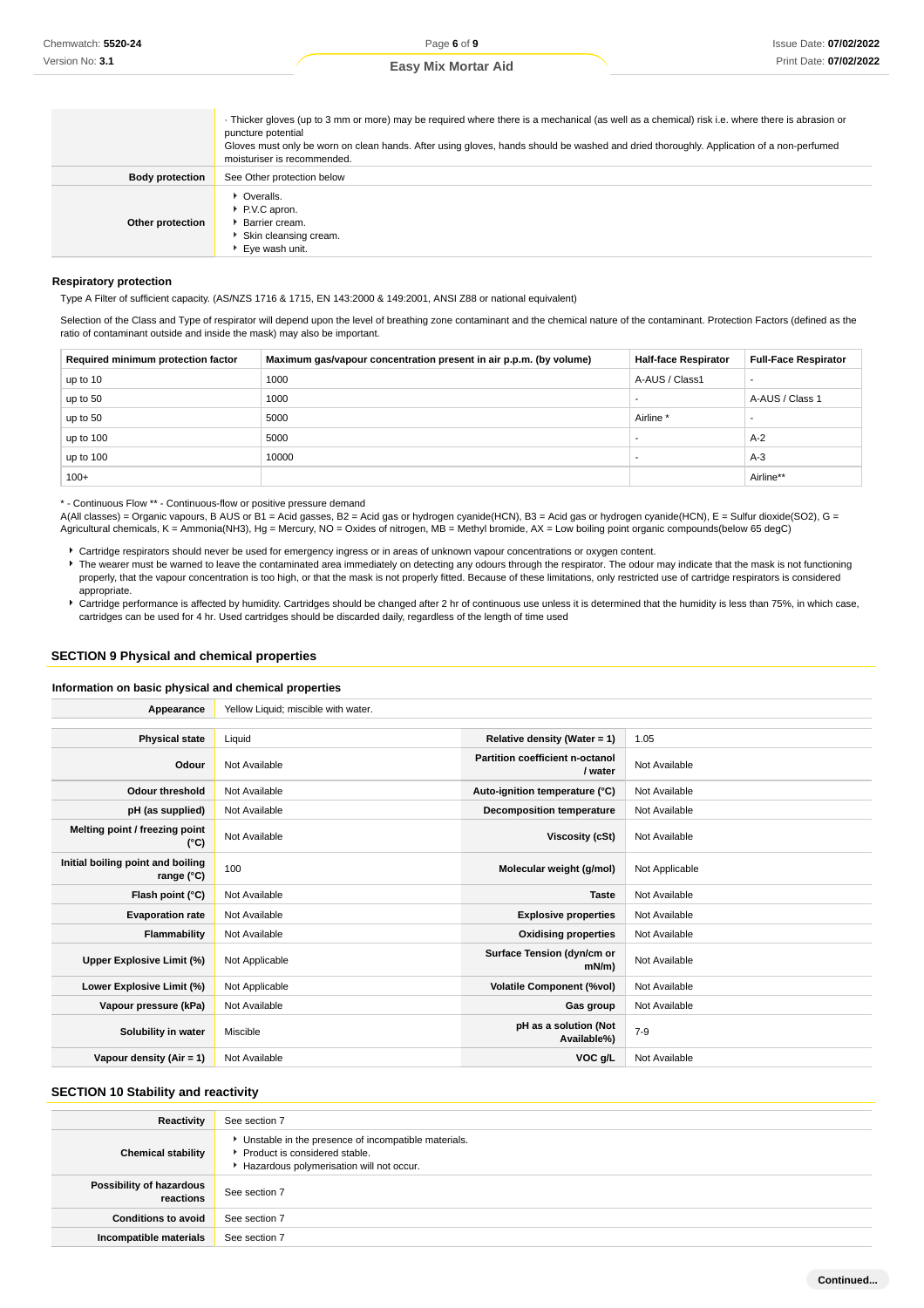|  |  | <b>Easy Mix Mortar Aid</b> |  |
|--|--|----------------------------|--|
|--|--|----------------------------|--|

|                        | Thicker gloves (up to 3 mm or more) may be required where there is a mechanical (as well as a chemical) risk i.e. where there is abrasion or<br>puncture potential<br>Gloves must only be worn on clean hands. After using gloves, hands should be washed and dried thoroughly. Application of a non-perfumed<br>moisturiser is recommended. |
|------------------------|----------------------------------------------------------------------------------------------------------------------------------------------------------------------------------------------------------------------------------------------------------------------------------------------------------------------------------------------|
| <b>Body protection</b> | See Other protection below                                                                                                                                                                                                                                                                                                                   |
| Other protection       | • Overalls.<br>P.V.C apron.<br>Barrier cream.<br>Skin cleansing cream.<br>* Eve wash unit.                                                                                                                                                                                                                                                   |

#### **Respiratory protection**

Type A Filter of sufficient capacity. (AS/NZS 1716 & 1715, EN 143:2000 & 149:2001, ANSI Z88 or national equivalent)

Selection of the Class and Type of respirator will depend upon the level of breathing zone contaminant and the chemical nature of the contaminant. Protection Factors (defined as the ratio of contaminant outside and inside the mask) may also be important.

| Required minimum protection factor | Maximum gas/vapour concentration present in air p.p.m. (by volume) | <b>Half-face Respirator</b> | <b>Full-Face Respirator</b> |
|------------------------------------|--------------------------------------------------------------------|-----------------------------|-----------------------------|
| up to 10                           | 1000                                                               | A-AUS / Class1              | $\overline{\phantom{a}}$    |
| up to 50                           | 1000                                                               |                             | A-AUS / Class 1             |
| up to 50                           | 5000                                                               | Airline <sup>*</sup>        |                             |
| up to 100                          | 5000                                                               |                             | $A-2$                       |
| up to 100                          | 10000                                                              |                             | $A-3$                       |
| $100+$                             |                                                                    |                             | Airline**                   |

\* - Continuous Flow \*\* - Continuous-flow or positive pressure demand

A(All classes) = Organic vapours, B AUS or B1 = Acid gasses, B2 = Acid gas or hydrogen cyanide(HCN), B3 = Acid gas or hydrogen cyanide(HCN), E = Sulfur dioxide(SO2), G = Agricultural chemicals, K = Ammonia(NH3), Hg = Mercury, NO = Oxides of nitrogen, MB = Methyl bromide, AX = Low boiling point organic compounds(below 65 degC)

Cartridge respirators should never be used for emergency ingress or in areas of unknown vapour concentrations or oxygen content.

The wearer must be warned to leave the contaminated area immediately on detecting any odours through the respirator. The odour may indicate that the mask is not functioning properly, that the vapour concentration is too high, or that the mask is not properly fitted. Because of these limitations, only restricted use of cartridge respirators is considered appropriate.

Cartridge performance is affected by humidity. Cartridges should be changed after 2 hr of continuous use unless it is determined that the humidity is less than 75%, in which case, cartridges can be used for 4 hr. Used cartridges should be discarded daily, regardless of the length of time used

## **SECTION 9 Physical and chemical properties**

#### **Information on basic physical and chemical properties**

| Appearance                                      | Yellow Liquid; miscible with water. |                                            |                |
|-------------------------------------------------|-------------------------------------|--------------------------------------------|----------------|
|                                                 |                                     |                                            |                |
| <b>Physical state</b>                           | Liquid                              | Relative density (Water = 1)               | 1.05           |
| Odour                                           | Not Available                       | Partition coefficient n-octanol<br>/ water | Not Available  |
| <b>Odour threshold</b>                          | Not Available                       | Auto-ignition temperature (°C)             | Not Available  |
| pH (as supplied)                                | Not Available                       | Decomposition temperature                  | Not Available  |
| Melting point / freezing point<br>(°C)          | Not Available                       | Viscosity (cSt)                            | Not Available  |
| Initial boiling point and boiling<br>range (°C) | 100                                 | Molecular weight (g/mol)                   | Not Applicable |
| Flash point (°C)                                | Not Available                       | <b>Taste</b>                               | Not Available  |
| <b>Evaporation rate</b>                         | Not Available                       | <b>Explosive properties</b>                | Not Available  |
| Flammability                                    | Not Available                       | <b>Oxidising properties</b>                | Not Available  |
| Upper Explosive Limit (%)                       | Not Applicable                      | Surface Tension (dyn/cm or<br>mN/m         | Not Available  |
| Lower Explosive Limit (%)                       | Not Applicable                      | <b>Volatile Component (%vol)</b>           | Not Available  |
| Vapour pressure (kPa)                           | Not Available                       | Gas group                                  | Not Available  |
| Solubility in water                             | Miscible                            | pH as a solution (Not<br>Available%)       | $7 - 9$        |
| Vapour density $(Air = 1)$                      | Not Available                       | VOC g/L                                    | Not Available  |

#### **SECTION 10 Stability and reactivity**

| Reactivity                            | See section 7                                                                                                                        |
|---------------------------------------|--------------------------------------------------------------------------------------------------------------------------------------|
| <b>Chemical stability</b>             | • Unstable in the presence of incompatible materials.<br>▶ Product is considered stable.<br>Hazardous polymerisation will not occur. |
| Possibility of hazardous<br>reactions | See section 7                                                                                                                        |
| <b>Conditions to avoid</b>            | See section 7                                                                                                                        |
| Incompatible materials                | See section 7                                                                                                                        |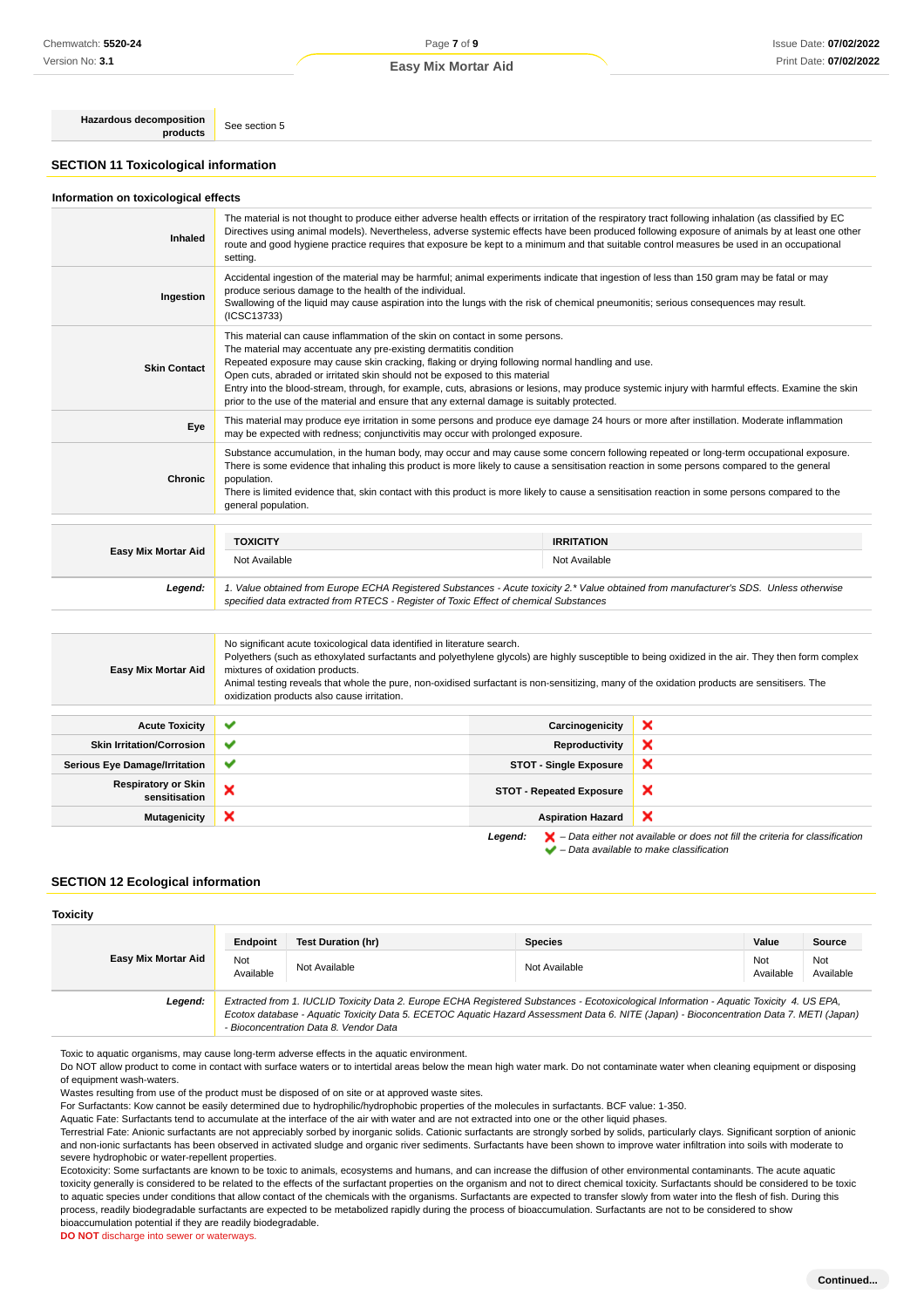## Page **7** of **9 Easy Mix Mortar Aid**

**Hazardous decomposition products** See section 5

**SECTION 11 Toxicological information**

#### **Information on toxicological effects**

| Inhaled             | The material is not thought to produce either adverse health effects or irritation of the respiratory tract following inhalation (as classified by EC<br>Directives using animal models). Nevertheless, adverse systemic effects have been produced following exposure of animals by at least one other<br>route and good hygiene practice requires that exposure be kept to a minimum and that suitable control measures be used in an occupational<br>setting.                                                                                                                        |                   |  |
|---------------------|-----------------------------------------------------------------------------------------------------------------------------------------------------------------------------------------------------------------------------------------------------------------------------------------------------------------------------------------------------------------------------------------------------------------------------------------------------------------------------------------------------------------------------------------------------------------------------------------|-------------------|--|
| Ingestion           | Accidental ingestion of the material may be harmful; animal experiments indicate that ingestion of less than 150 gram may be fatal or may<br>produce serious damage to the health of the individual.<br>Swallowing of the liquid may cause aspiration into the lungs with the risk of chemical pneumonitis; serious consequences may result.<br>(ICSC13733)                                                                                                                                                                                                                             |                   |  |
| <b>Skin Contact</b> | This material can cause inflammation of the skin on contact in some persons.<br>The material may accentuate any pre-existing dermatitis condition<br>Repeated exposure may cause skin cracking, flaking or drying following normal handling and use.<br>Open cuts, abraded or irritated skin should not be exposed to this material<br>Entry into the blood-stream, through, for example, cuts, abrasions or lesions, may produce systemic injury with harmful effects. Examine the skin<br>prior to the use of the material and ensure that any external damage is suitably protected. |                   |  |
| Eye                 | This material may produce eye irritation in some persons and produce eye damage 24 hours or more after instillation. Moderate inflammation<br>may be expected with redness; conjunctivitis may occur with prolonged exposure.                                                                                                                                                                                                                                                                                                                                                           |                   |  |
| Chronic             | Substance accumulation, in the human body, may occur and may cause some concern following repeated or long-term occupational exposure.<br>There is some evidence that inhaling this product is more likely to cause a sensitisation reaction in some persons compared to the general<br>population.<br>There is limited evidence that, skin contact with this product is more likely to cause a sensitisation reaction in some persons compared to the<br>general population.                                                                                                           |                   |  |
|                     | <b>TOXICITY</b>                                                                                                                                                                                                                                                                                                                                                                                                                                                                                                                                                                         | <b>IRRITATION</b> |  |
| Easy Mix Mortar Aid | Not Available                                                                                                                                                                                                                                                                                                                                                                                                                                                                                                                                                                           | Not Available     |  |
| Legend:             | 1. Value obtained from Europe ECHA Registered Substances - Acute toxicity 2.* Value obtained from manufacturer's SDS. Unless otherwise<br>specified data extracted from RTECS - Register of Toxic Effect of chemical Substances                                                                                                                                                                                                                                                                                                                                                         |                   |  |
|                     | No significant acute toxicological data identified in literature search.                                                                                                                                                                                                                                                                                                                                                                                                                                                                                                                |                   |  |
|                     | Polyethers (such as ethoxylated surfactants and polyethylene glycols) are highly susceptible to being oxidized in the air. They then form complex                                                                                                                                                                                                                                                                                                                                                                                                                                       |                   |  |

| <b>Easy Mix Mortar Aid</b>                  | mixtures of oxidation products.<br>Animal testing reveals that whole the pure, non-oxidised surfactant is non-sensitizing, many of the oxidation products are sensitisers. The<br>oxidization products also cause irritation. |                                 |                                                                              |
|---------------------------------------------|-------------------------------------------------------------------------------------------------------------------------------------------------------------------------------------------------------------------------------|---------------------------------|------------------------------------------------------------------------------|
| <b>Acute Toxicity</b>                       | $\checkmark$                                                                                                                                                                                                                  | Carcinogenicity                 | ×                                                                            |
| <b>Skin Irritation/Corrosion</b>            | ✔                                                                                                                                                                                                                             | <b>Reproductivity</b>           | ×                                                                            |
| <b>Serious Eye Damage/Irritation</b>        | ✔                                                                                                                                                                                                                             | <b>STOT - Single Exposure</b>   | ×                                                                            |
| <b>Respiratory or Skin</b><br>sensitisation | ×                                                                                                                                                                                                                             | <b>STOT - Repeated Exposure</b> | ×                                                                            |
| <b>Mutagenicity</b>                         | ×                                                                                                                                                                                                                             | <b>Aspiration Hazard</b>        | ×                                                                            |
|                                             |                                                                                                                                                                                                                               | Legend:                         | - Data either not available or does not fill the criteria for classification |

 $\blacktriangleright$  – Data available to make classification

## **SECTION 12 Ecological information**

#### **Toxicity**

|                     | Endpoint                                                                                                                                                                                                                                                                                                                       | <b>Test Duration (hr)</b> | <b>Species</b> | Value            | Source           |
|---------------------|--------------------------------------------------------------------------------------------------------------------------------------------------------------------------------------------------------------------------------------------------------------------------------------------------------------------------------|---------------------------|----------------|------------------|------------------|
| Easy Mix Mortar Aid | Not<br>Available                                                                                                                                                                                                                                                                                                               | Not Available             | Not Available  | Not<br>Available | Not<br>Available |
| Legend:             | Extracted from 1. IUCLID Toxicity Data 2. Europe ECHA Registered Substances - Ecotoxicological Information - Aquatic Toxicity 4. US EPA,<br>Ecotox database - Aquatic Toxicity Data 5. ECETOC Aquatic Hazard Assessment Data 6. NITE (Japan) - Bioconcentration Data 7. METI (Japan)<br>- Bioconcentration Data 8. Vendor Data |                           |                |                  |                  |

Toxic to aquatic organisms, may cause long-term adverse effects in the aquatic environment.

Do NOT allow product to come in contact with surface waters or to intertidal areas below the mean high water mark. Do not contaminate water when cleaning equipment or disposing of equipment wash-waters.

Wastes resulting from use of the product must be disposed of on site or at approved waste sites.

For Surfactants: Kow cannot be easily determined due to hydrophilic/hydrophobic properties of the molecules in surfactants. BCF value: 1-350.

Aquatic Fate: Surfactants tend to accumulate at the interface of the air with water and are not extracted into one or the other liquid phases.

Terrestrial Fate: Anionic surfactants are not appreciably sorbed by inorganic solids. Cationic surfactants are strongly sorbed by solids, particularly clays. Significant sorption of anionic and non-ionic surfactants has been observed in activated sludge and organic river sediments. Surfactants have been shown to improve water infiltration into soils with moderate to severe hydrophobic or water-repellent properties.

Ecotoxicity: Some surfactants are known to be toxic to animals, ecosystems and humans, and can increase the diffusion of other environmental contaminants. The acute aquatic toxicity generally is considered to be related to the effects of the surfactant properties on the organism and not to direct chemical toxicity. Surfactants should be considered to be toxic to aquatic species under conditions that allow contact of the chemicals with the organisms. Surfactants are expected to transfer slowly from water into the flesh of fish. During this process, readily biodegradable surfactants are expected to be metabolized rapidly during the process of bioaccumulation. Surfactants are not to be considered to show bioaccumulation potential if they are readily biodegradable.

**DO NOT** discharge into sewer or waterways.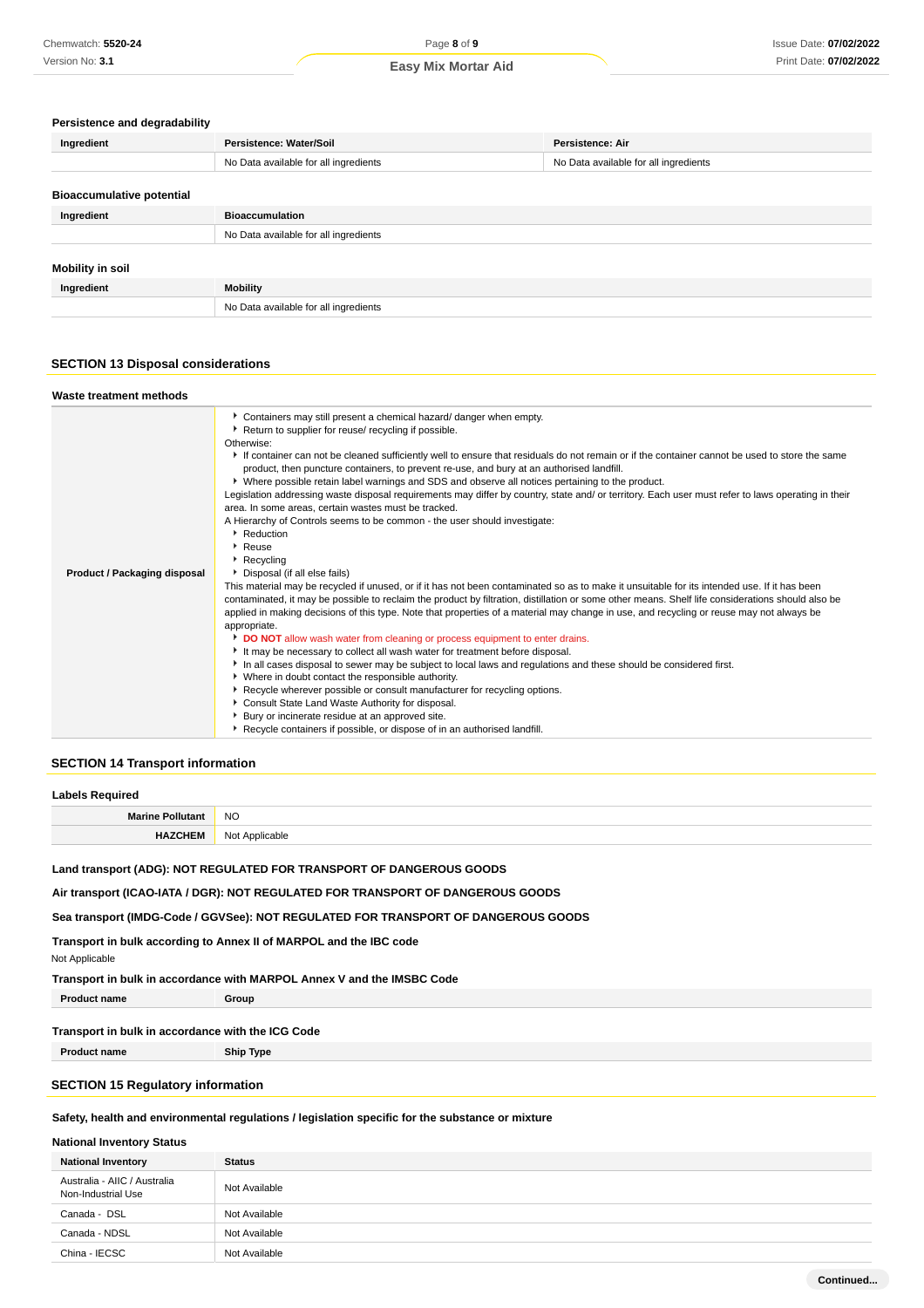#### **Persistence and degradability**

| Ingredient                       | Persistence: Water/Soil               | Persistence: Air                      |
|----------------------------------|---------------------------------------|---------------------------------------|
|                                  | No Data available for all ingredients | No Data available for all ingredients |
| <b>Bioaccumulative potential</b> |                                       |                                       |
| Ingredient                       | <b>Bioaccumulation</b>                |                                       |
|                                  | No Data available for all ingredients |                                       |
| <b>Mobility in soil</b>          |                                       |                                       |
| Ingredient                       | <b>Mobility</b>                       |                                       |
|                                  | No Data available for all ingredients |                                       |

## **SECTION 13 Disposal considerations**

| Waste treatment methods      |                                                                                                                                                                                                                                                                                                                                                                                                                                                                                                                                                                                                                                                                                                                                                                                                                                                                                                                                                                                                                                                                                                                                                                                                                                                                                                                                                                                                                                                                                                                                                                                                                                                                                                                                                                                                                                                                                                                                                  |
|------------------------------|--------------------------------------------------------------------------------------------------------------------------------------------------------------------------------------------------------------------------------------------------------------------------------------------------------------------------------------------------------------------------------------------------------------------------------------------------------------------------------------------------------------------------------------------------------------------------------------------------------------------------------------------------------------------------------------------------------------------------------------------------------------------------------------------------------------------------------------------------------------------------------------------------------------------------------------------------------------------------------------------------------------------------------------------------------------------------------------------------------------------------------------------------------------------------------------------------------------------------------------------------------------------------------------------------------------------------------------------------------------------------------------------------------------------------------------------------------------------------------------------------------------------------------------------------------------------------------------------------------------------------------------------------------------------------------------------------------------------------------------------------------------------------------------------------------------------------------------------------------------------------------------------------------------------------------------------------|
| Product / Packaging disposal | Containers may still present a chemical hazard/ danger when empty.<br>▶ Return to supplier for reuse/ recycling if possible.<br>Otherwise:<br>If container can not be cleaned sufficiently well to ensure that residuals do not remain or if the container cannot be used to store the same<br>product, then puncture containers, to prevent re-use, and bury at an authorised landfill.<br>▶ Where possible retain label warnings and SDS and observe all notices pertaining to the product.<br>Legislation addressing waste disposal requirements may differ by country, state and/ or territory. Each user must refer to laws operating in their<br>area. In some areas, certain wastes must be tracked.<br>A Hierarchy of Controls seems to be common - the user should investigate:<br>Reduction<br>$\cdot$ Reuse<br>Recycling<br>Disposal (if all else fails)<br>This material may be recycled if unused, or if it has not been contaminated so as to make it unsuitable for its intended use. If it has been<br>contaminated, it may be possible to reclaim the product by filtration, distillation or some other means. Shelf life considerations should also be<br>applied in making decisions of this type. Note that properties of a material may change in use, and recycling or reuse may not always be<br>appropriate.<br>DO NOT allow wash water from cleaning or process equipment to enter drains.<br>It may be necessary to collect all wash water for treatment before disposal.<br>In all cases disposal to sewer may be subject to local laws and regulations and these should be considered first.<br>• Where in doubt contact the responsible authority.<br>▶ Recycle wherever possible or consult manufacturer for recycling options.<br>Consult State Land Waste Authority for disposal.<br>Bury or incinerate residue at an approved site.<br>Recycle containers if possible, or dispose of in an authorised landfill. |

## **SECTION 14 Transport information**

| <b>Labels Required</b>     |                |  |
|----------------------------|----------------|--|
| <b>Marine Pollutant</b>    | <b>NO</b>      |  |
| <b>CHEM</b><br><b>HALL</b> | Not Applicable |  |

## **Land transport (ADG): NOT REGULATED FOR TRANSPORT OF DANGEROUS GOODS**

**Air transport (ICAO-IATA / DGR): NOT REGULATED FOR TRANSPORT OF DANGEROUS GOODS**

**Sea transport (IMDG-Code / GGVSee): NOT REGULATED FOR TRANSPORT OF DANGEROUS GOODS**

**Transport in bulk according to Annex II of MARPOL and the IBC code**

Not Applicable

**Transport in bulk in accordance with MARPOL Annex V and the IMSBC Code**

**Product name Group** 

## **Transport in bulk in accordance with the ICG Code**

**Product name Ship Type**

#### **SECTION 15 Regulatory information**

## **Safety, health and environmental regulations / legislation specific for the substance or mixture**

## **National Inventory Status**

| <b>National Inventory</b>                          | <b>Status</b> |
|----------------------------------------------------|---------------|
| Australia - AIIC / Australia<br>Non-Industrial Use | Not Available |
| Canada - DSL                                       | Not Available |
| Canada - NDSL                                      | Not Available |
| China - IECSC                                      | Not Available |